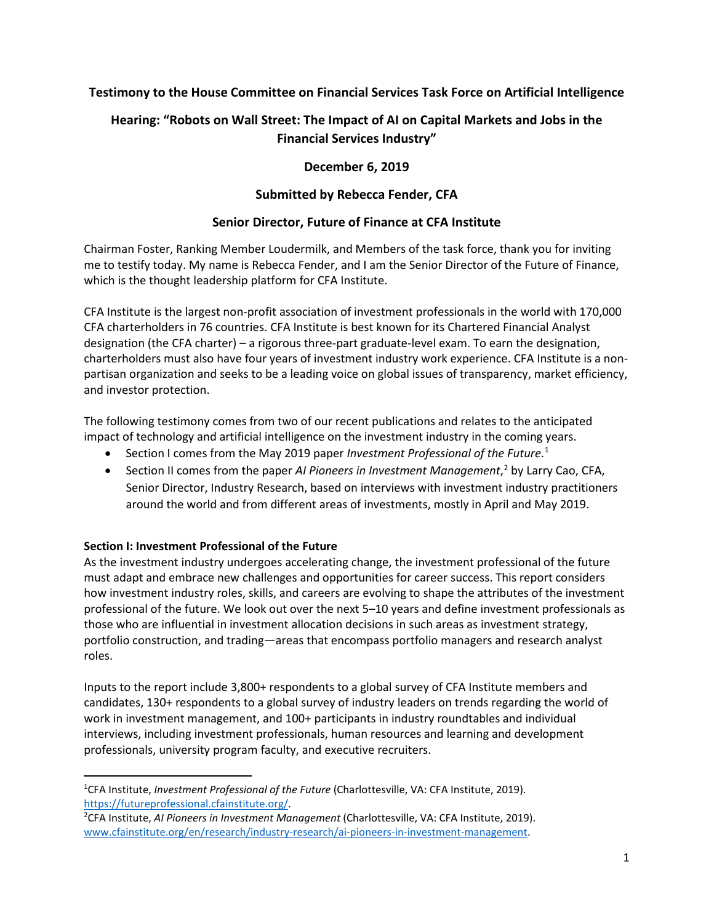# **Testimony to the House Committee on Financial Services Task Force on Artificial Intelligence**

# **Hearing: "Robots on Wall Street: The Impact of AI on Capital Markets and Jobs in the Financial Services Industry"**

# **December 6, 2019**

# **Submitted by Rebecca Fender, CFA**

# **Senior Director, Future of Finance at CFA Institute**

Chairman Foster, Ranking Member Loudermilk, and Members of the task force, thank you for inviting me to testify today. My name is Rebecca Fender, and I am the Senior Director of the Future of Finance, which is the thought leadership platform for CFA Institute.

CFA Institute is the largest non-profit association of investment professionals in the world with 170,000 CFA charterholders in 76 countries. CFA Institute is best known for its Chartered Financial Analyst designation (the CFA charter) – a rigorous three-part graduate-level exam. To earn the designation, charterholders must also have four years of investment industry work experience. CFA Institute is a nonpartisan organization and seeks to be a leading voice on global issues of transparency, market efficiency, and investor protection.

The following testimony comes from two of our recent publications and relates to the anticipated impact of technology and artificial intelligence on the investment industry in the coming years.

- Section I comes from the May 2019 paper *Investment Professional of the Future*. [1](#page-0-0)
- Section II comes from the paper *AI Pioneers in Investment Management*, [2](#page-0-1) by Larry Cao, CFA, Senior Director, Industry Research, based on interviews with investment industry practitioners around the world and from different areas of investments, mostly in April and May 2019.

## **Section I: Investment Professional of the Future**

As the investment industry undergoes accelerating change, the investment professional of the future must adapt and embrace new challenges and opportunities for career success. This report considers how investment industry roles, skills, and careers are evolving to shape the attributes of the investment professional of the future. We look out over the next 5–10 years and define investment professionals as those who are influential in investment allocation decisions in such areas as investment strategy, portfolio construction, and trading—areas that encompass portfolio managers and research analyst roles.

Inputs to the report include 3,800+ respondents to a global survey of CFA Institute members and candidates, 130+ respondents to a global survey of industry leaders on trends regarding the world of work in investment management, and 100+ participants in industry roundtables and individual interviews, including investment professionals, human resources and learning and development professionals, university program faculty, and executive recruiters.

<span id="page-0-0"></span><sup>1</sup> CFA Institute, *Investment Professional of the Future* (Charlottesville, VA: CFA Institute, 2019). [https://futureprofessional.cfainstitute.org/.](https://futureprofessional.cfainstitute.org/)

<span id="page-0-1"></span><sup>2</sup> CFA Institute, *AI Pioneers in Investment Management* (Charlottesville, VA: CFA Institute, 2019). [www.cfainstitute.org/en/research/industry-research/ai-pioneers-in-investment-management.](http://www.cfainstitute.org/en/research/industry-research/ai-pioneers-in-investment-management)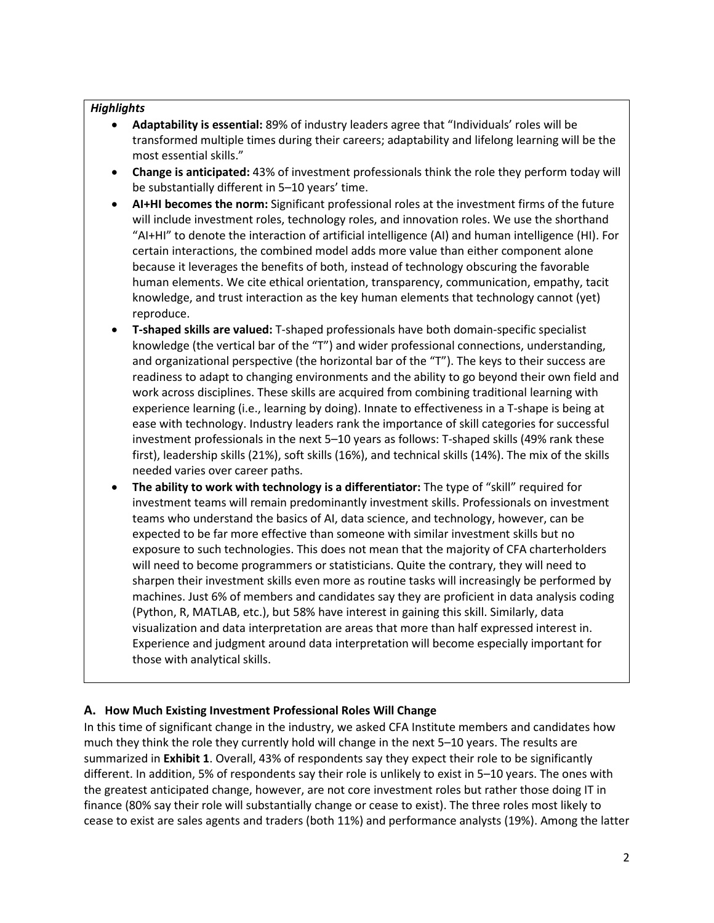#### *Highlights*

- **Adaptability is essential:** 89% of industry leaders agree that "Individuals' roles will be transformed multiple times during their careers; adaptability and lifelong learning will be the most essential skills."
- **Change is anticipated:** 43% of investment professionals think the role they perform today will be substantially different in 5–10 years' time.
- **AI+HI becomes the norm:** Significant professional roles at the investment firms of the future will include investment roles, technology roles, and innovation roles. We use the shorthand "AI+HI" to denote the interaction of artificial intelligence (AI) and human intelligence (HI). For certain interactions, the combined model adds more value than either component alone because it leverages the benefits of both, instead of technology obscuring the favorable human elements. We cite ethical orientation, transparency, communication, empathy, tacit knowledge, and trust interaction as the key human elements that technology cannot (yet) reproduce.
- **T-shaped skills are valued:** T-shaped professionals have both domain-specific specialist knowledge (the vertical bar of the "T") and wider professional connections, understanding, and organizational perspective (the horizontal bar of the "T"). The keys to their success are readiness to adapt to changing environments and the ability to go beyond their own field and work across disciplines. These skills are acquired from combining traditional learning with experience learning (i.e., learning by doing). Innate to effectiveness in a T-shape is being at ease with technology. Industry leaders rank the importance of skill categories for successful investment professionals in the next 5–10 years as follows: T-shaped skills (49% rank these first), leadership skills (21%), soft skills (16%), and technical skills (14%). The mix of the skills needed varies over career paths.
- **The ability to work with technology is a differentiator:** The type of "skill" required for investment teams will remain predominantly investment skills. Professionals on investment teams who understand the basics of AI, data science, and technology, however, can be expected to be far more effective than someone with similar investment skills but no exposure to such technologies. This does not mean that the majority of CFA charterholders will need to become programmers or statisticians. Quite the contrary, they will need to sharpen their investment skills even more as routine tasks will increasingly be performed by machines. Just 6% of members and candidates say they are proficient in data analysis coding (Python, R, MATLAB, etc.), but 58% have interest in gaining this skill. Similarly, data visualization and data interpretation are areas that more than half expressed interest in. Experience and judgment around data interpretation will become especially important for those with analytical skills.

## **A. How Much Existing Investment Professional Roles Will Change**

In this time of significant change in the industry, we asked CFA Institute members and candidates how much they think the role they currently hold will change in the next 5–10 years. The results are summarized in **Exhibit 1**. Overall, 43% of respondents say they expect their role to be significantly different. In addition, 5% of respondents say their role is unlikely to exist in 5–10 years. The ones with the greatest anticipated change, however, are not core investment roles but rather those doing IT in finance (80% say their role will substantially change or cease to exist). The three roles most likely to cease to exist are sales agents and traders (both 11%) and performance analysts (19%). Among the latter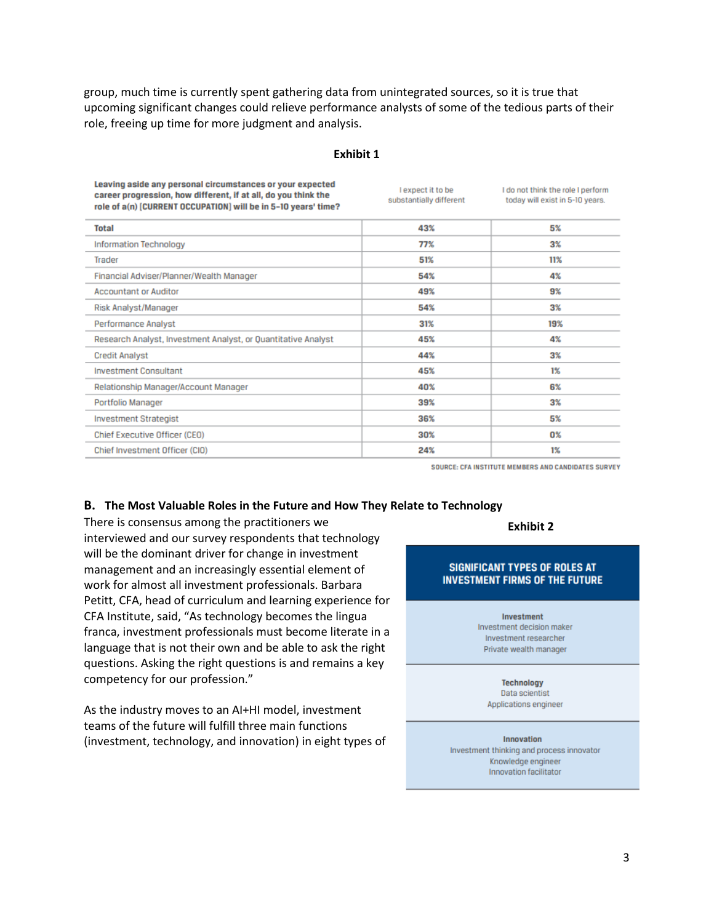group, much time is currently spent gathering data from unintegrated sources, so it is true that upcoming significant changes could relieve performance analysts of some of the tedious parts of their role, freeing up time for more judgment and analysis.

#### **Exhibit 1**

| 43% | 5%    |
|-----|-------|
|     |       |
| 77% | $3\%$ |
| 51% | 11%   |
| 54% | 4%    |
| 49% | 9%    |
| 54% | 3%    |
| 31% | 19%   |
| 45% | 4%    |
| 44% | $3\%$ |
| 45% | $1\%$ |
| 40% | 6%    |
| 39% | 3%    |
| 36% | 5%    |
| 30% | 0%    |
| 24% | $1\%$ |
|     |       |

SOURCE: CFA INSTITUTE MEMBERS AND CANDIDATES SURVEY

#### **B. The Most Valuable Roles in the Future and How They Relate to Technology**

There is consensus among the practitioners we interviewed and our survey respondents that technology will be the dominant driver for change in investment management and an increasingly essential element of work for almost all investment professionals. Barbara Petitt, CFA, head of curriculum and learning experience for CFA Institute, said, "As technology becomes the lingua franca, investment professionals must become literate in a language that is not their own and be able to ask the right questions. Asking the right questions is and remains a key competency for our profession."

As the industry moves to an AI+HI model, investment teams of the future will fulfill three main functions (investment, technology, and innovation) in eight types of

#### **Exhibit 2**

#### **SIGNIFICANT TYPES OF ROLES AT INVESTMENT FIRMS OF THE FUTURE**

#### Investment

Investment decision maker Investment researcher Private wealth manager

#### **Technology**

Data scientist Applications engineer

#### Innovation

Investment thinking and process innovator Knowledge engineer Innovation facilitator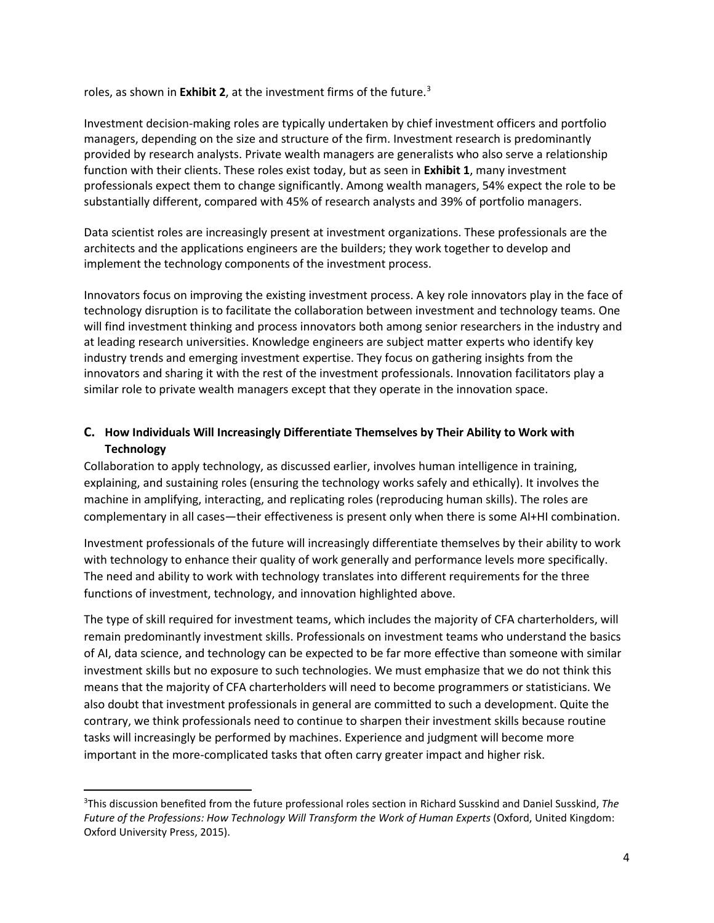roles, as shown in **Exhibit 2**, at the investment firms of the future.<sup>[3](#page-3-0)</sup>

Investment decision-making roles are typically undertaken by chief investment officers and portfolio managers, depending on the size and structure of the firm. Investment research is predominantly provided by research analysts. Private wealth managers are generalists who also serve a relationship function with their clients. These roles exist today, but as seen in **Exhibit 1**, many investment professionals expect them to change significantly. Among wealth managers, 54% expect the role to be substantially different, compared with 45% of research analysts and 39% of portfolio managers.

Data scientist roles are increasingly present at investment organizations. These professionals are the architects and the applications engineers are the builders; they work together to develop and implement the technology components of the investment process.

Innovators focus on improving the existing investment process. A key role innovators play in the face of technology disruption is to facilitate the collaboration between investment and technology teams. One will find investment thinking and process innovators both among senior researchers in the industry and at leading research universities. Knowledge engineers are subject matter experts who identify key industry trends and emerging investment expertise. They focus on gathering insights from the innovators and sharing it with the rest of the investment professionals. Innovation facilitators play a similar role to private wealth managers except that they operate in the innovation space.

# **C. How Individuals Will Increasingly Differentiate Themselves by Their Ability to Work with Technology**

Collaboration to apply technology, as discussed earlier, involves human intelligence in training, explaining, and sustaining roles (ensuring the technology works safely and ethically). It involves the machine in amplifying, interacting, and replicating roles (reproducing human skills). The roles are complementary in all cases—their effectiveness is present only when there is some AI+HI combination.

Investment professionals of the future will increasingly differentiate themselves by their ability to work with technology to enhance their quality of work generally and performance levels more specifically. The need and ability to work with technology translates into different requirements for the three functions of investment, technology, and innovation highlighted above.

The type of skill required for investment teams, which includes the majority of CFA charterholders, will remain predominantly investment skills. Professionals on investment teams who understand the basics of AI, data science, and technology can be expected to be far more effective than someone with similar investment skills but no exposure to such technologies. We must emphasize that we do not think this means that the majority of CFA charterholders will need to become programmers or statisticians. We also doubt that investment professionals in general are committed to such a development. Quite the contrary, we think professionals need to continue to sharpen their investment skills because routine tasks will increasingly be performed by machines. Experience and judgment will become more important in the more-complicated tasks that often carry greater impact and higher risk.

<span id="page-3-0"></span><sup>3</sup> This discussion benefited from the future professional roles section in Richard Susskind and Daniel Susskind, *The Future of the Professions: How Technology Will Transform the Work of Human Experts* (Oxford, United Kingdom: Oxford University Press, 2015).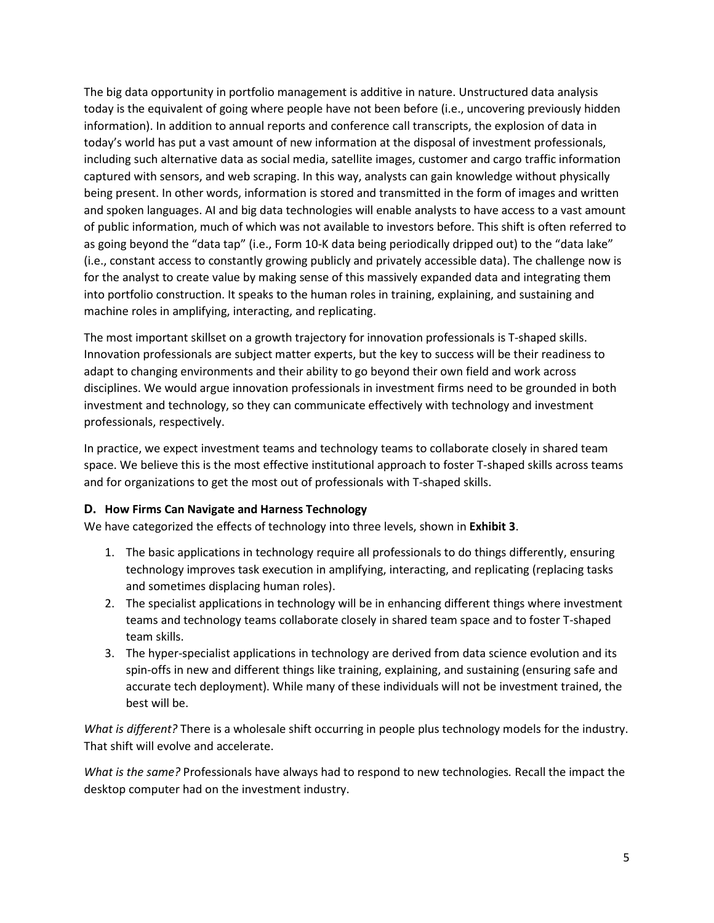The big data opportunity in portfolio management is additive in nature. Unstructured data analysis today is the equivalent of going where people have not been before (i.e., uncovering previously hidden information). In addition to annual reports and conference call transcripts, the explosion of data in today's world has put a vast amount of new information at the disposal of investment professionals, including such alternative data as social media, satellite images, customer and cargo traffic information captured with sensors, and web scraping. In this way, analysts can gain knowledge without physically being present. In other words, information is stored and transmitted in the form of images and written and spoken languages. AI and big data technologies will enable analysts to have access to a vast amount of public information, much of which was not available to investors before. This shift is often referred to as going beyond the "data tap" (i.e., Form 10-K data being periodically dripped out) to the "data lake" (i.e., constant access to constantly growing publicly and privately accessible data). The challenge now is for the analyst to create value by making sense of this massively expanded data and integrating them into portfolio construction. It speaks to the human roles in training, explaining, and sustaining and machine roles in amplifying, interacting, and replicating.

The most important skillset on a growth trajectory for innovation professionals is T-shaped skills. Innovation professionals are subject matter experts, but the key to success will be their readiness to adapt to changing environments and their ability to go beyond their own field and work across disciplines. We would argue innovation professionals in investment firms need to be grounded in both investment and technology, so they can communicate effectively with technology and investment professionals, respectively.

In practice, we expect investment teams and technology teams to collaborate closely in shared team space. We believe this is the most effective institutional approach to foster T-shaped skills across teams and for organizations to get the most out of professionals with T-shaped skills.

## **D. How Firms Can Navigate and Harness Technology**

We have categorized the effects of technology into three levels, shown in **Exhibit 3**.

- 1. The basic applications in technology require all professionals to do things differently, ensuring technology improves task execution in amplifying, interacting, and replicating (replacing tasks and sometimes displacing human roles).
- 2. The specialist applications in technology will be in enhancing different things where investment teams and technology teams collaborate closely in shared team space and to foster T-shaped team skills.
- 3. The hyper-specialist applications in technology are derived from data science evolution and its spin-offs in new and different things like training, explaining, and sustaining (ensuring safe and accurate tech deployment). While many of these individuals will not be investment trained, the best will be.

*What is different?* There is a wholesale shift occurring in people plus technology models for the industry. That shift will evolve and accelerate.

*What is the same?* Professionals have always had to respond to new technologies*.* Recall the impact the desktop computer had on the investment industry.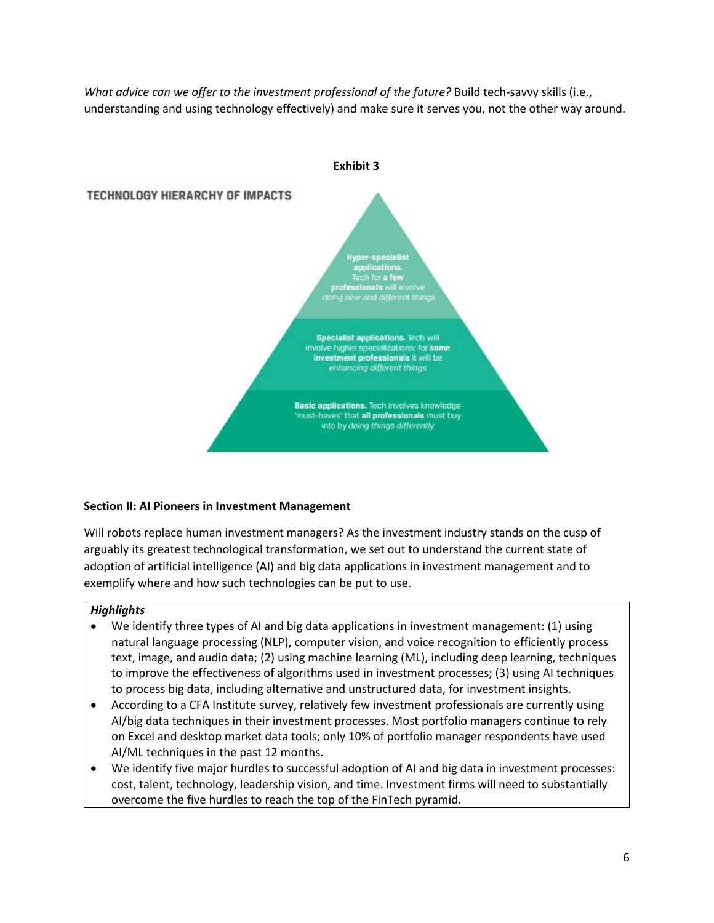*What advice can we offer to the investment professional of the future?* Build tech-savvy skills (i.e., understanding and using technology effectively) and make sure it serves you, not the other way around.



## **Section II: AI Pioneers in Investment Management**

Will robots replace human investment managers? As the investment industry stands on the cusp of arguably its greatest technological transformation, we set out to understand the current state of adoption of artificial intelligence (AI) and big data applications in investment management and to exemplify where and how such technologies can be put to use.

## *Highlights*

- We identify three types of AI and big data applications in investment management: (1) using natural language processing (NLP), computer vision, and voice recognition to efficiently process text, image, and audio data; (2) using machine learning (ML), including deep learning, techniques to improve the effectiveness of algorithms used in investment processes; (3) using AI techniques to process big data, including alternative and unstructured data, for investment insights.
- According to a CFA Institute survey, relatively few investment professionals are currently using AI/big data techniques in their investment processes. Most portfolio managers continue to rely on Excel and desktop market data tools; only 10% of portfolio manager respondents have used AI/ML techniques in the past 12 months.
- We identify five major hurdles to successful adoption of AI and big data in investment processes: cost, talent, technology, leadership vision, and time. Investment firms will need to substantially overcome the five hurdles to reach the top of the FinTech pyramid*.*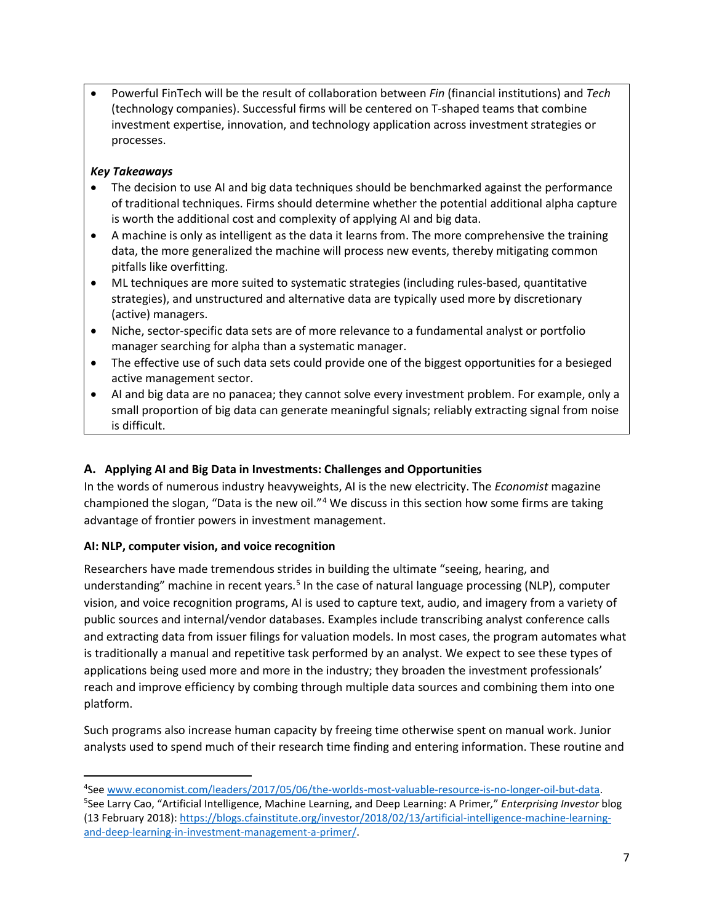• Powerful FinTech will be the result of collaboration between *Fin* (financial institutions) and *Tech* (technology companies). Successful firms will be centered on T-shaped teams that combine investment expertise, innovation, and technology application across investment strategies or processes.

## *Key Takeaways*

- The decision to use AI and big data techniques should be benchmarked against the performance of traditional techniques. Firms should determine whether the potential additional alpha capture is worth the additional cost and complexity of applying AI and big data.
- A machine is only as intelligent as the data it learns from. The more comprehensive the training data, the more generalized the machine will process new events, thereby mitigating common pitfalls like overfitting.
- ML techniques are more suited to systematic strategies (including rules-based, quantitative strategies), and unstructured and alternative data are typically used more by discretionary (active) managers.
- Niche, sector-specific data sets are of more relevance to a fundamental analyst or portfolio manager searching for alpha than a systematic manager.
- The effective use of such data sets could provide one of the biggest opportunities for a besieged active management sector.
- AI and big data are no panacea; they cannot solve every investment problem. For example, only a small proportion of big data can generate meaningful signals; reliably extracting signal from noise is difficult.

# **A. Applying AI and Big Data in Investments: Challenges and Opportunities**

In the words of numerous industry heavyweights, AI is the new electricity. The *Economist* magazine championed the slogan, "Data is the new oil."[4](#page-6-0) We discuss in this section how some firms are taking advantage of frontier powers in investment management.

## **AI: NLP, computer vision, and voice recognition**

Researchers have made tremendous strides in building the ultimate "seeing, hearing, and understanding" machine in recent years.<sup>[5](#page-6-1)</sup> In the case of natural language processing (NLP), computer vision, and voice recognition programs, AI is used to capture text, audio, and imagery from a variety of public sources and internal/vendor databases. Examples include transcribing analyst conference calls and extracting data from issuer filings for valuation models. In most cases, the program automates what is traditionally a manual and repetitive task performed by an analyst. We expect to see these types of applications being used more and more in the industry; they broaden the investment professionals' reach and improve efficiency by combing through multiple data sources and combining them into one platform.

Such programs also increase human capacity by freeing time otherwise spent on manual work. Junior analysts used to spend much of their research time finding and entering information. These routine and

<span id="page-6-1"></span><span id="page-6-0"></span><sup>&</sup>lt;sup>4</sup>See <u>www.economist.com/leaders/2017/05/06/the-worlds-most-valuable-resource-is-no-longer-oil-but-data.<br><sup>5</sup>See Larry Cao, "Artificial Intelligence, Machine Learning, and Deen Learning: A Primer," Enternrising Investor h</u> See Larry Cao, "Artificial Intelligence, Machine Learning, and Deep Learning: A Primer*,*" *Enterprising Investor* blog (13 February 2018): [https://blogs.cfainstitute.org/investor/2018/02/13/artificial-intelligence-machine-learning](https://blogs.cfainstitute.org/investor/2018/02/13/artificial-intelligence-machine-learning-and-deep-learning-in-investment-management-a-primer/)[and-deep-learning-in-investment-management-a-primer/.](https://blogs.cfainstitute.org/investor/2018/02/13/artificial-intelligence-machine-learning-and-deep-learning-in-investment-management-a-primer/)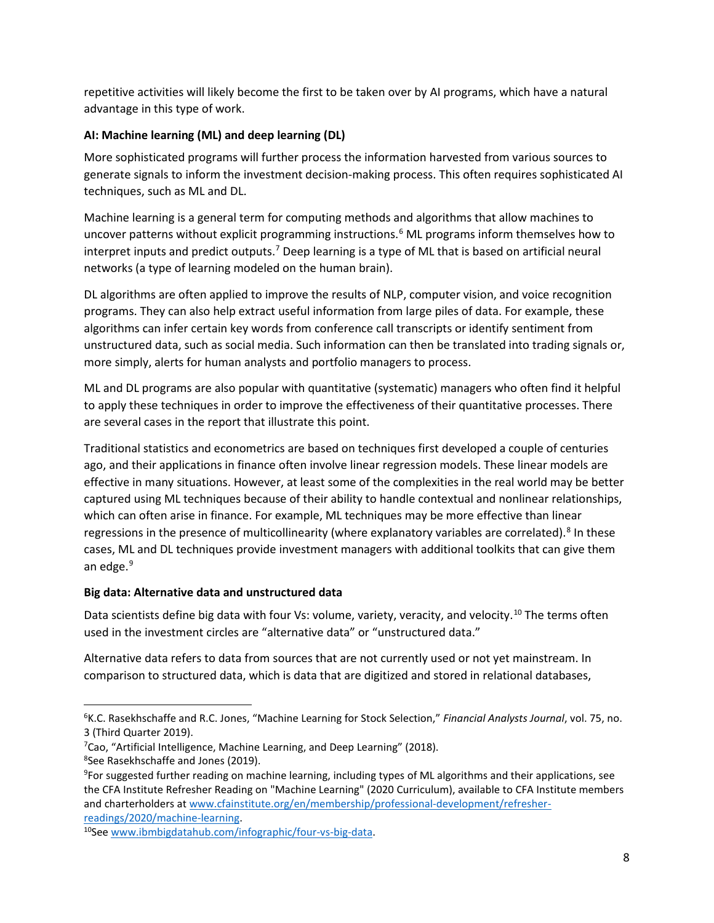repetitive activities will likely become the first to be taken over by AI programs, which have a natural advantage in this type of work.

## **AI: Machine learning (ML) and deep learning (DL)**

More sophisticated programs will further process the information harvested from various sources to generate signals to inform the investment decision-making process. This often requires sophisticated AI techniques, such as ML and DL.

Machine learning is a general term for computing methods and algorithms that allow machines to uncover patterns without explicit programming instructions.<sup>[6](#page-7-0)</sup> ML programs inform themselves how to interpret inputs and predict outputs.<sup>[7](#page-7-1)</sup> Deep learning is a type of ML that is based on artificial neural networks (a type of learning modeled on the human brain).

DL algorithms are often applied to improve the results of NLP, computer vision, and voice recognition programs. They can also help extract useful information from large piles of data. For example, these algorithms can infer certain key words from conference call transcripts or identify sentiment from unstructured data, such as social media. Such information can then be translated into trading signals or, more simply, alerts for human analysts and portfolio managers to process.

ML and DL programs are also popular with quantitative (systematic) managers who often find it helpful to apply these techniques in order to improve the effectiveness of their quantitative processes. There are several cases in the report that illustrate this point.

Traditional statistics and econometrics are based on techniques first developed a couple of centuries ago, and their applications in finance often involve linear regression models. These linear models are effective in many situations. However, at least some of the complexities in the real world may be better captured using ML techniques because of their ability to handle contextual and nonlinear relationships, which can often arise in finance. For example, ML techniques may be more effective than linear regressions in the presence of multicollinearity (where explanatory variables are correlated).<sup>[8](#page-7-2)</sup> In these cases, ML and DL techniques provide investment managers with additional toolkits that can give them an edge.<sup>[9](#page-7-3)</sup>

## **Big data: Alternative data and unstructured data**

Data scientists define big data with four Vs: volume, variety, veracity, and velocity.<sup>[10](#page-7-4)</sup> The terms often used in the investment circles are "alternative data" or "unstructured data."

Alternative data refers to data from sources that are not currently used or not yet mainstream. In comparison to structured data, which is data that are digitized and stored in relational databases,

<span id="page-7-0"></span><sup>6</sup> K.C. Rasekhschaffe and R.C. Jones, "Machine Learning for Stock Selection," *Financial Analysts Journal*, vol. 75, no. 3 (Third Quarter 2019).

<span id="page-7-1"></span><sup>&</sup>lt;sup>7</sup>Cao, "Artificial Intelligence, Machine Learning, and Deep Learning" (2018).<br><sup>8</sup>See Basekhschaffe and Jones (2019)

<span id="page-7-2"></span><sup>&</sup>lt;sup>8</sup>See Rasekhschaffe and Jones (2019).

<span id="page-7-3"></span><sup>&</sup>lt;sup>9</sup>For suggested further reading on machine learning, including types of ML algorithms and their applications, see the CFA Institute Refresher Reading on "Machine Learning" (2020 Curriculum), available to CFA Institute members and charterholders a[t www.cfainstitute.org/en/membership/professional-development/refresher](http://www.cfainstitute.org/en/membership/professional-development/refresher-readings/2020/machine-learning)[readings/2020/machine-learning.](http://www.cfainstitute.org/en/membership/professional-development/refresher-readings/2020/machine-learning)

<span id="page-7-4"></span><sup>10</sup>See [www.ibmbigdatahub.com/infographic/four-vs-big-data.](https://www.ibmbigdatahub.com/infographic/four-vs-big-data)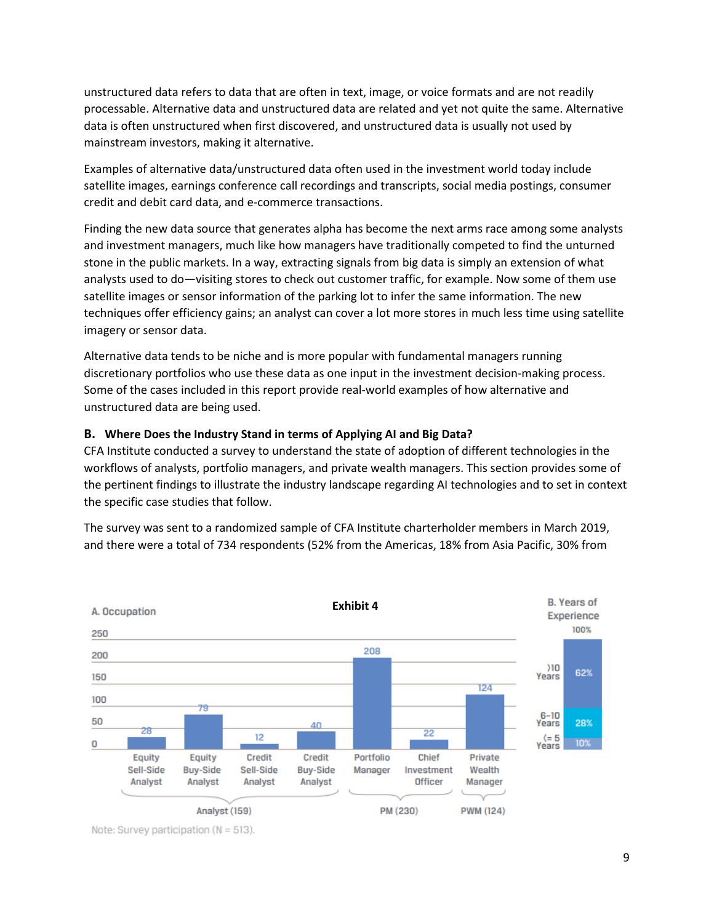unstructured data refers to data that are often in text, image, or voice formats and are not readily processable. Alternative data and unstructured data are related and yet not quite the same. Alternative data is often unstructured when first discovered, and unstructured data is usually not used by mainstream investors, making it alternative.

Examples of alternative data/unstructured data often used in the investment world today include satellite images, earnings conference call recordings and transcripts, social media postings, consumer credit and debit card data, and e-commerce transactions.

Finding the new data source that generates alpha has become the next arms race among some analysts and investment managers, much like how managers have traditionally competed to find the unturned stone in the public markets. In a way, extracting signals from big data is simply an extension of what analysts used to do—visiting stores to check out customer traffic, for example. Now some of them use satellite images or sensor information of the parking lot to infer the same information. The new techniques offer efficiency gains; an analyst can cover a lot more stores in much less time using satellite imagery or sensor data.

Alternative data tends to be niche and is more popular with fundamental managers running discretionary portfolios who use these data as one input in the investment decision-making process. Some of the cases included in this report provide real-world examples of how alternative and unstructured data are being used.

#### **B. Where Does the Industry Stand in terms of Applying AI and Big Data?**

CFA Institute conducted a survey to understand the state of adoption of different technologies in the workflows of analysts, portfolio managers, and private wealth managers. This section provides some of the pertinent findings to illustrate the industry landscape regarding AI technologies and to set in context the specific case studies that follow.

The survey was sent to a randomized sample of CFA Institute charterholder members in March 2019, and there were a total of 734 respondents (52% from the Americas, 18% from Asia Pacific, 30% from



Note: Survey participation ( $N = 513$ ).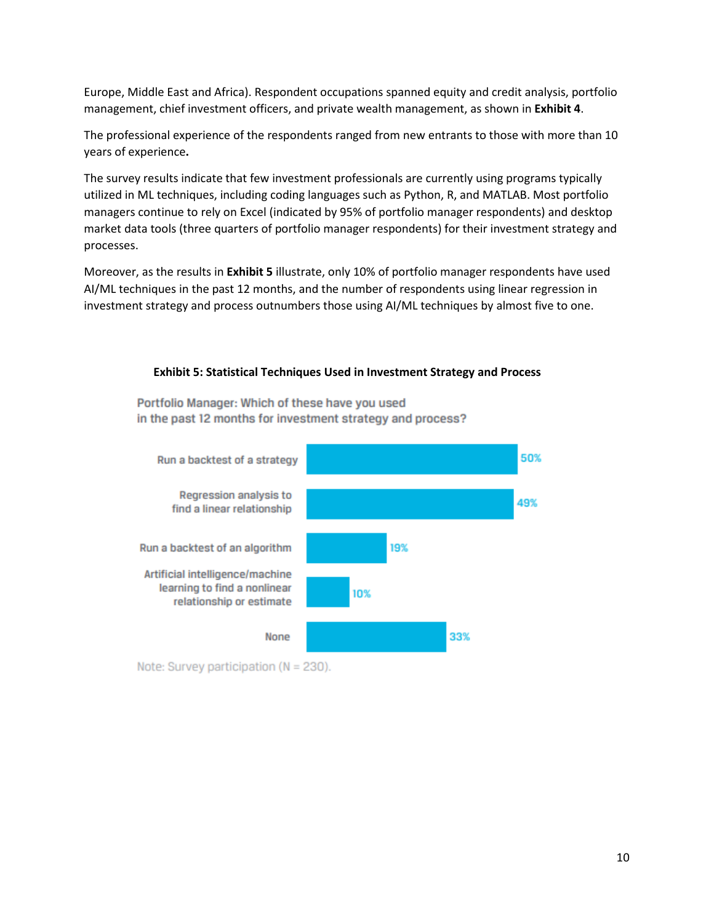Europe, Middle East and Africa). Respondent occupations spanned equity and credit analysis, portfolio management, chief investment officers, and private wealth management, as shown in **Exhibit 4**.

The professional experience of the respondents ranged from new entrants to those with more than 10 years of experience**.**

The survey results indicate that few investment professionals are currently using programs typically utilized in ML techniques, including coding languages such as Python, R, and MATLAB. Most portfolio managers continue to rely on Excel (indicated by 95% of portfolio manager respondents) and desktop market data tools (three quarters of portfolio manager respondents) for their investment strategy and processes.

Moreover, as the results in **Exhibit 5** illustrate, only 10% of portfolio manager respondents have used AI/ML techniques in the past 12 months, and the number of respondents using linear regression in investment strategy and process outnumbers those using AI/ML techniques by almost five to one.

#### **Exhibit 5: Statistical Techniques Used in Investment Strategy and Process**

Portfolio Manager: Which of these have you used in the past 12 months for investment strategy and process?



Note: Survey participation ( $N = 230$ ).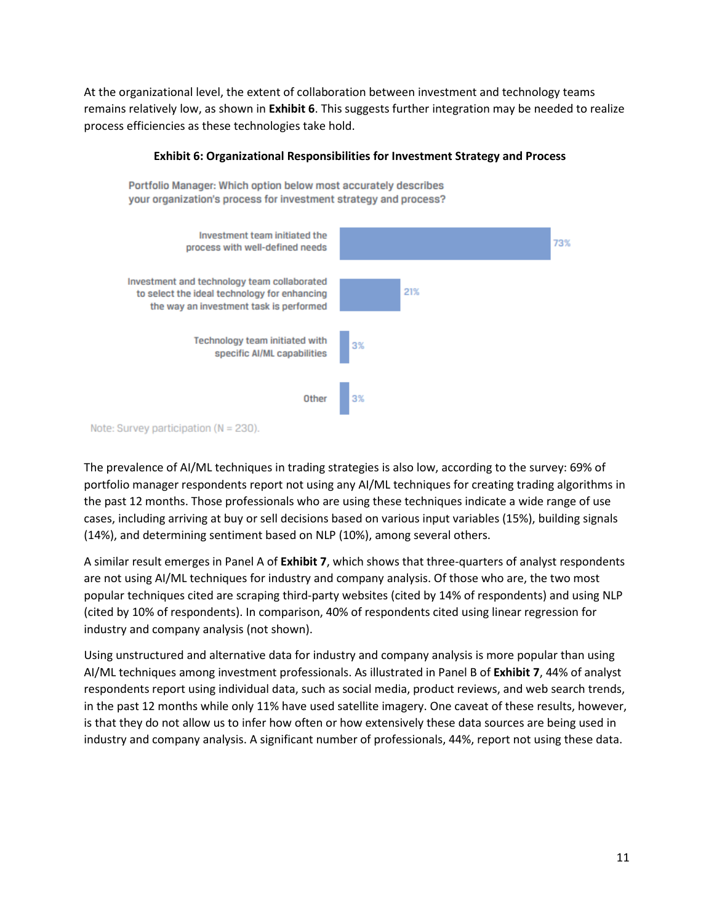At the organizational level, the extent of collaboration between investment and technology teams remains relatively low, as shown in **Exhibit 6**. This suggests further integration may be needed to realize process efficiencies as these technologies take hold.



#### **Exhibit 6: Organizational Responsibilities for Investment Strategy and Process**

Note: Survey participation (N = 230).

The prevalence of AI/ML techniques in trading strategies is also low, according to the survey: 69% of portfolio manager respondents report not using any AI/ML techniques for creating trading algorithms in the past 12 months. Those professionals who are using these techniques indicate a wide range of use cases, including arriving at buy or sell decisions based on various input variables (15%), building signals (14%), and determining sentiment based on NLP (10%), among several others.

A similar result emerges in Panel A of **Exhibit 7**, which shows that three-quarters of analyst respondents are not using AI/ML techniques for industry and company analysis. Of those who are, the two most popular techniques cited are scraping third-party websites (cited by 14% of respondents) and using NLP (cited by 10% of respondents). In comparison, 40% of respondents cited using linear regression for industry and company analysis (not shown).

Using unstructured and alternative data for industry and company analysis is more popular than using AI/ML techniques among investment professionals. As illustrated in Panel B of **Exhibit 7**, 44% of analyst respondents report using individual data, such as social media, product reviews, and web search trends, in the past 12 months while only 11% have used satellite imagery. One caveat of these results, however, is that they do not allow us to infer how often or how extensively these data sources are being used in industry and company analysis. A significant number of professionals, 44%, report not using these data.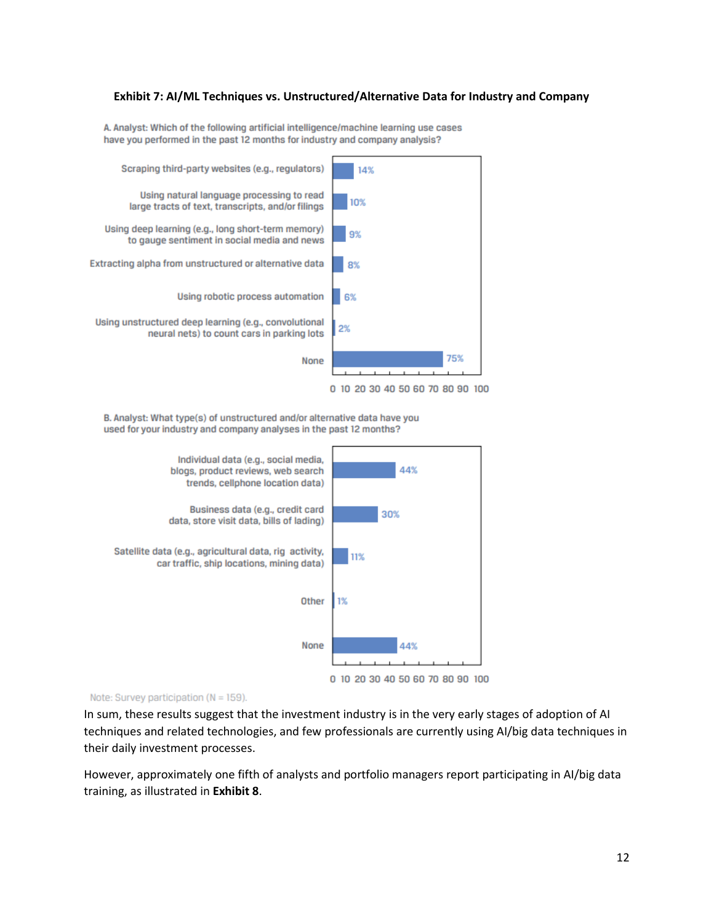#### **Exhibit 7: AI/ML Techniques vs. Unstructured/Alternative Data for Industry and Company**

A. Analyst: Which of the following artificial intelligence/machine learning use cases have you performed in the past 12 months for industry and company analysis?



B. Analyst: What type(s) of unstructured and/or alternative data have you

used for your industry and company analyses in the past 12 months?



#### Note: Survey participation (N = 159).

In sum, these results suggest that the investment industry is in the very early stages of adoption of AI techniques and related technologies, and few professionals are currently using AI/big data techniques in their daily investment processes.

However, approximately one fifth of analysts and portfolio managers report participating in AI/big data training, as illustrated in **Exhibit 8**.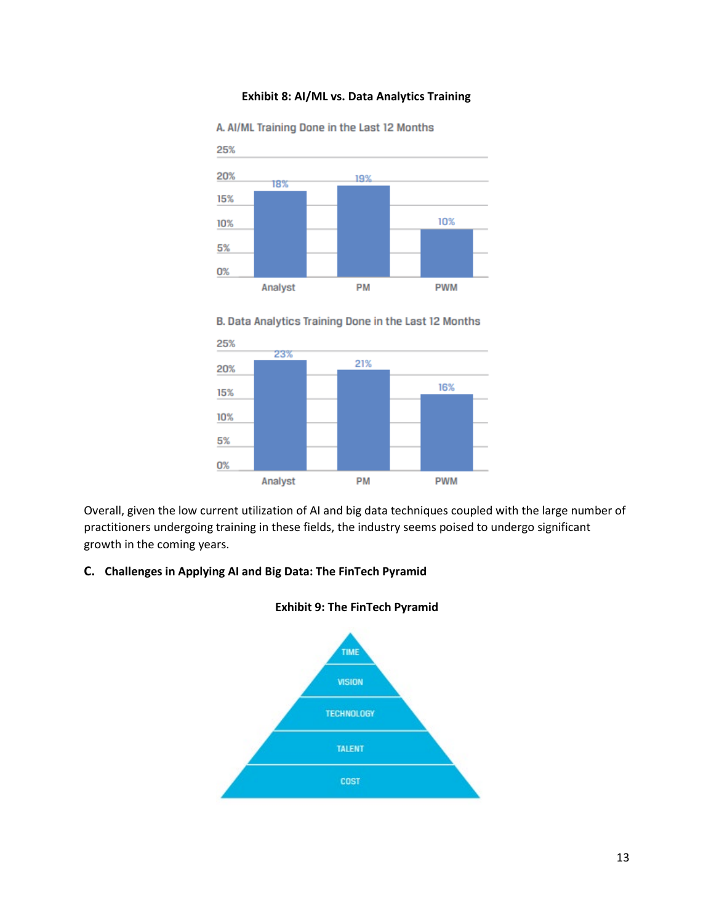#### **Exhibit 8: AI/ML vs. Data Analytics Training**



A. AI/ML Training Done in the Last 12 Months





Overall, given the low current utilization of AI and big data techniques coupled with the large number of practitioners undergoing training in these fields, the industry seems poised to undergo significant growth in the coming years.

#### **C. Challenges in Applying AI and Big Data: The FinTech Pyramid**



#### **Exhibit 9: The FinTech Pyramid**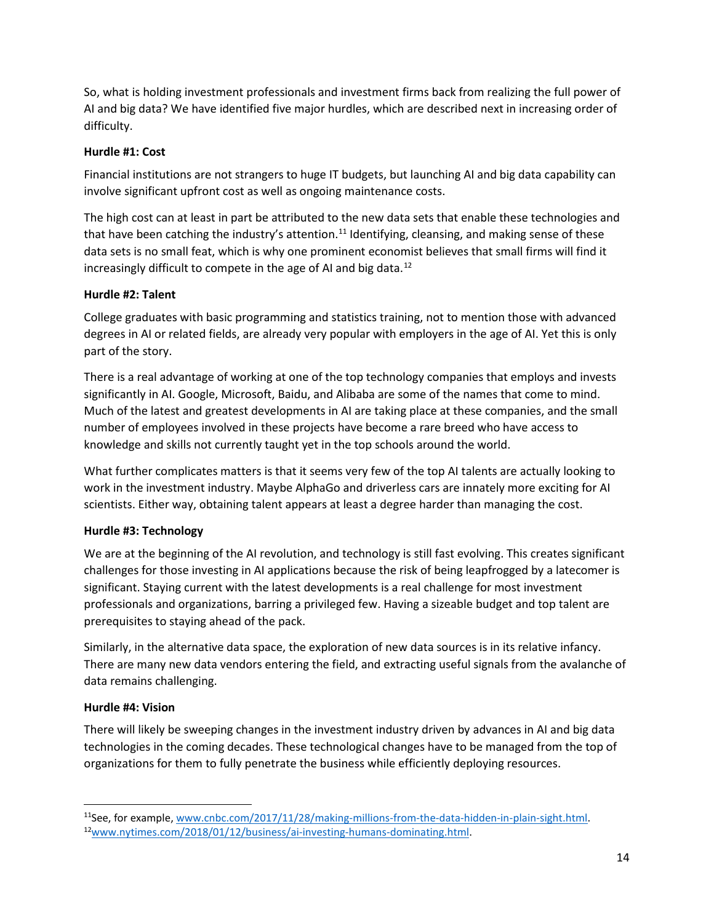So, what is holding investment professionals and investment firms back from realizing the full power of AI and big data? We have identified five major hurdles, which are described next in increasing order of difficulty.

## **Hurdle #1: Cost**

Financial institutions are not strangers to huge IT budgets, but launching AI and big data capability can involve significant upfront cost as well as ongoing maintenance costs.

The high cost can at least in part be attributed to the new data sets that enable these technologies and that have been catching the industry's attention.<sup>[11](#page-13-0)</sup> Identifying, cleansing, and making sense of these data sets is no small feat, which is why one prominent economist believes that small firms will find it increasingly difficult to compete in the age of AI and big data.<sup>[12](#page-13-1)</sup>

# **Hurdle #2: Talent**

College graduates with basic programming and statistics training, not to mention those with advanced degrees in AI or related fields, are already very popular with employers in the age of AI. Yet this is only part of the story.

There is a real advantage of working at one of the top technology companies that employs and invests significantly in AI. Google, Microsoft, Baidu, and Alibaba are some of the names that come to mind. Much of the latest and greatest developments in AI are taking place at these companies, and the small number of employees involved in these projects have become a rare breed who have access to knowledge and skills not currently taught yet in the top schools around the world.

What further complicates matters is that it seems very few of the top AI talents are actually looking to work in the investment industry. Maybe AlphaGo and driverless cars are innately more exciting for AI scientists. Either way, obtaining talent appears at least a degree harder than managing the cost.

# **Hurdle #3: Technology**

We are at the beginning of the AI revolution, and technology is still fast evolving. This creates significant challenges for those investing in AI applications because the risk of being leapfrogged by a latecomer is significant. Staying current with the latest developments is a real challenge for most investment professionals and organizations, barring a privileged few. Having a sizeable budget and top talent are prerequisites to staying ahead of the pack.

Similarly, in the alternative data space, the exploration of new data sources is in its relative infancy. There are many new data vendors entering the field, and extracting useful signals from the avalanche of data remains challenging.

# **Hurdle #4: Vision**

There will likely be sweeping changes in the investment industry driven by advances in AI and big data technologies in the coming decades. These technological changes have to be managed from the top of organizations for them to fully penetrate the business while efficiently deploying resources.

<span id="page-13-1"></span><span id="page-13-0"></span><sup>11</sup>See, for example, [www.cnbc.com/2017/11/28/making-millions-from-the-data-hidden-in-plain-sight.html.](http://www.cnbc.com/2017/11/28/making-millions-from-the-data-hidden-in-plain-sight.html) 1[2www.nytimes.com/2018/01/12/business/ai-investing-humans-dominating.html.](http://www.nytimes.com/2018/01/12/business/ai-investing-humans-dominating.html)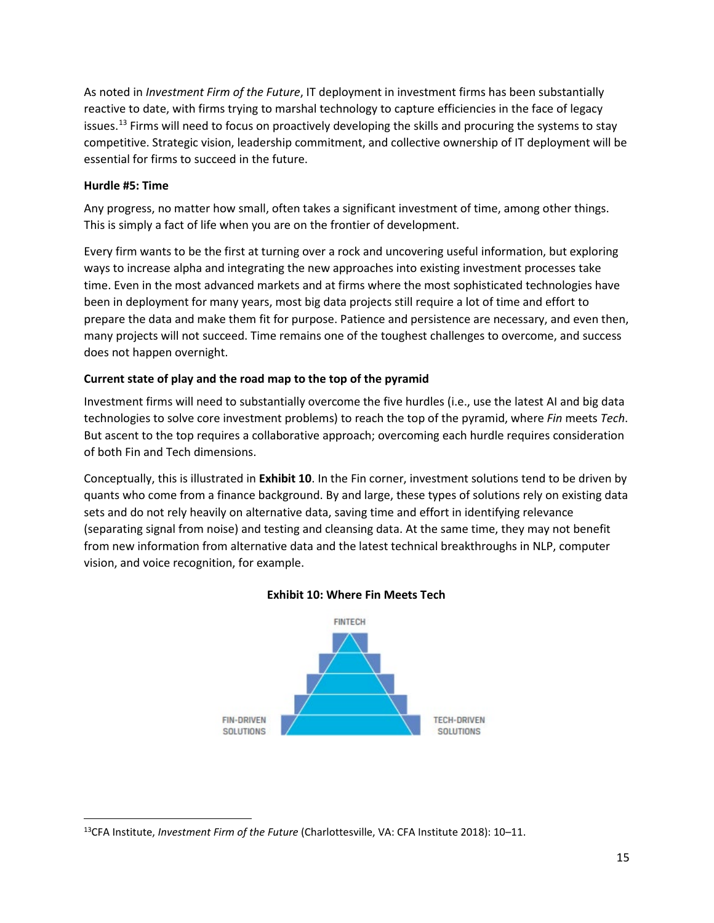As noted in *Investment Firm of the Future*, IT deployment in investment firms has been substantially reactive to date, with firms trying to marshal technology to capture efficiencies in the face of legacy issues.<sup>[13](#page-14-0)</sup> Firms will need to focus on proactively developing the skills and procuring the systems to stay competitive. Strategic vision, leadership commitment, and collective ownership of IT deployment will be essential for firms to succeed in the future.

#### **Hurdle #5: Time**

Any progress, no matter how small, often takes a significant investment of time, among other things. This is simply a fact of life when you are on the frontier of development.

Every firm wants to be the first at turning over a rock and uncovering useful information, but exploring ways to increase alpha and integrating the new approaches into existing investment processes take time. Even in the most advanced markets and at firms where the most sophisticated technologies have been in deployment for many years, most big data projects still require a lot of time and effort to prepare the data and make them fit for purpose. Patience and persistence are necessary, and even then, many projects will not succeed. Time remains one of the toughest challenges to overcome, and success does not happen overnight.

## **Current state of play and the road map to the top of the pyramid**

Investment firms will need to substantially overcome the five hurdles (i.e., use the latest AI and big data technologies to solve core investment problems) to reach the top of the pyramid, where *Fin* meets *Tech*. But ascent to the top requires a collaborative approach; overcoming each hurdle requires consideration of both Fin and Tech dimensions.

Conceptually, this is illustrated in **Exhibit 10**. In the Fin corner, investment solutions tend to be driven by quants who come from a finance background. By and large, these types of solutions rely on existing data sets and do not rely heavily on alternative data, saving time and effort in identifying relevance (separating signal from noise) and testing and cleansing data. At the same time, they may not benefit from new information from alternative data and the latest technical breakthroughs in NLP, computer vision, and voice recognition, for example.



## **Exhibit 10: Where Fin Meets Tech**

<span id="page-14-0"></span><sup>13</sup>CFA Institute, *Investment Firm of the Future* (Charlottesville, VA: CFA Institute 2018): 10–11.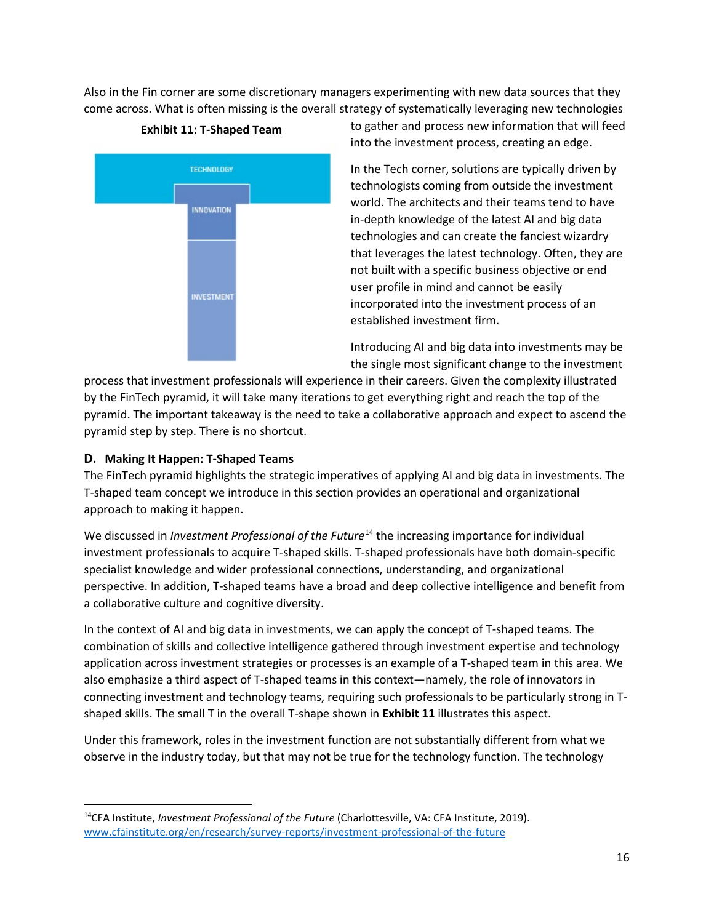Also in the Fin corner are some discretionary managers experimenting with new data sources that they come across. What is often missing is the overall strategy of systematically leveraging new technologies



**Exhibit 11: T-Shaped Team**

to gather and process new information that will feed into the investment process, creating an edge.

In the Tech corner, solutions are typically driven by technologists coming from outside the investment world. The architects and their teams tend to have in-depth knowledge of the latest AI and big data technologies and can create the fanciest wizardry that leverages the latest technology. Often, they are not built with a specific business objective or end user profile in mind and cannot be easily incorporated into the investment process of an established investment firm.

Introducing AI and big data into investments may be the single most significant change to the investment

process that investment professionals will experience in their careers. Given the complexity illustrated by the FinTech pyramid, it will take many iterations to get everything right and reach the top of the pyramid. The important takeaway is the need to take a collaborative approach and expect to ascend the pyramid step by step. There is no shortcut.

# **D. Making It Happen: T-Shaped Teams**

The FinTech pyramid highlights the strategic imperatives of applying AI and big data in investments. The T-shaped team concept we introduce in this section provides an operational and organizational approach to making it happen.

We discussed in *Investment Professional of the Future*<sup>[14](#page-15-0)</sup> the increasing importance for individual investment professionals to acquire T-shaped skills. T-shaped professionals have both domain-specific specialist knowledge and wider professional connections, understanding, and organizational perspective. In addition, T-shaped teams have a broad and deep collective intelligence and benefit from a collaborative culture and cognitive diversity.

In the context of AI and big data in investments, we can apply the concept of T-shaped teams. The combination of skills and collective intelligence gathered through investment expertise and technology application across investment strategies or processes is an example of a T-shaped team in this area. We also emphasize a third aspect of T-shaped teams in this context—namely, the role of innovators in connecting investment and technology teams, requiring such professionals to be particularly strong in Tshaped skills. The small T in the overall T-shape shown in **Exhibit 11** illustrates this aspect.

Under this framework, roles in the investment function are not substantially different from what we observe in the industry today, but that may not be true for the technology function. The technology

<span id="page-15-0"></span><sup>14</sup>CFA Institute, *Investment Professional of the Future* (Charlottesville, VA: CFA Institute, 2019). [www.cfainstitute.org/en/research/survey-reports/investment-professional-of-the-future](http://www.cfainstitute.org/en/research/survey-reports/investment-professional-of-the-future)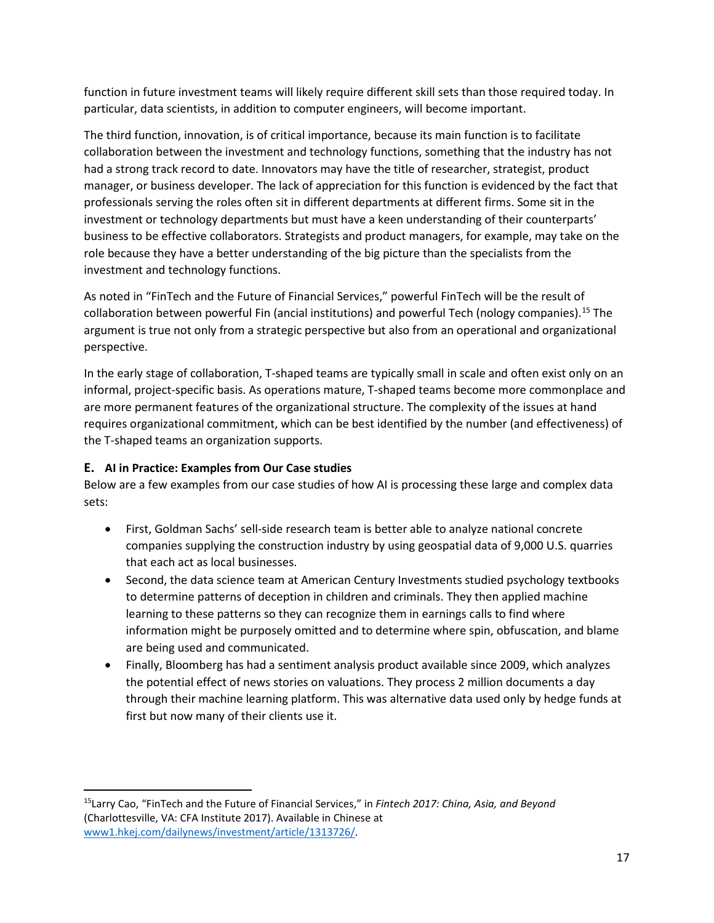function in future investment teams will likely require different skill sets than those required today. In particular, data scientists, in addition to computer engineers, will become important.

The third function, innovation, is of critical importance, because its main function is to facilitate collaboration between the investment and technology functions, something that the industry has not had a strong track record to date. Innovators may have the title of researcher, strategist, product manager, or business developer. The lack of appreciation for this function is evidenced by the fact that professionals serving the roles often sit in different departments at different firms. Some sit in the investment or technology departments but must have a keen understanding of their counterparts' business to be effective collaborators. Strategists and product managers, for example, may take on the role because they have a better understanding of the big picture than the specialists from the investment and technology functions.

As noted in "FinTech and the Future of Financial Services," powerful FinTech will be the result of collaboration between powerful Fin (ancial institutions) and powerful Tech (nology companies).[15](#page-16-0) The argument is true not only from a strategic perspective but also from an operational and organizational perspective.

In the early stage of collaboration, T-shaped teams are typically small in scale and often exist only on an informal, project-specific basis. As operations mature, T-shaped teams become more commonplace and are more permanent features of the organizational structure. The complexity of the issues at hand requires organizational commitment, which can be best identified by the number (and effectiveness) of the T-shaped teams an organization supports.

# **E. AI in Practice: Examples from Our Case studies**

Below are a few examples from our case studies of how AI is processing these large and complex data sets:

- First, Goldman Sachs' sell-side research team is better able to analyze national concrete companies supplying the construction industry by using geospatial data of 9,000 U.S. quarries that each act as local businesses.
- Second, the data science team at American Century Investments studied psychology textbooks to determine patterns of deception in children and criminals. They then applied machine learning to these patterns so they can recognize them in earnings calls to find where information might be purposely omitted and to determine where spin, obfuscation, and blame are being used and communicated.
- Finally, Bloomberg has had a sentiment analysis product available since 2009, which analyzes the potential effect of news stories on valuations. They process 2 million documents a day through their machine learning platform. This was alternative data used only by hedge funds at first but now many of their clients use it.

<span id="page-16-0"></span><sup>15</sup>Larry Cao, "FinTech and the Future of Financial Services," in *Fintech 2017: China, Asia, and Beyond* (Charlottesville, VA: CFA Institute 2017). Available in Chinese at [www1.hkej.com/dailynews/investment/article/1313726/.](https://www1.hkej.com/dailynews/investment/article/1313726/)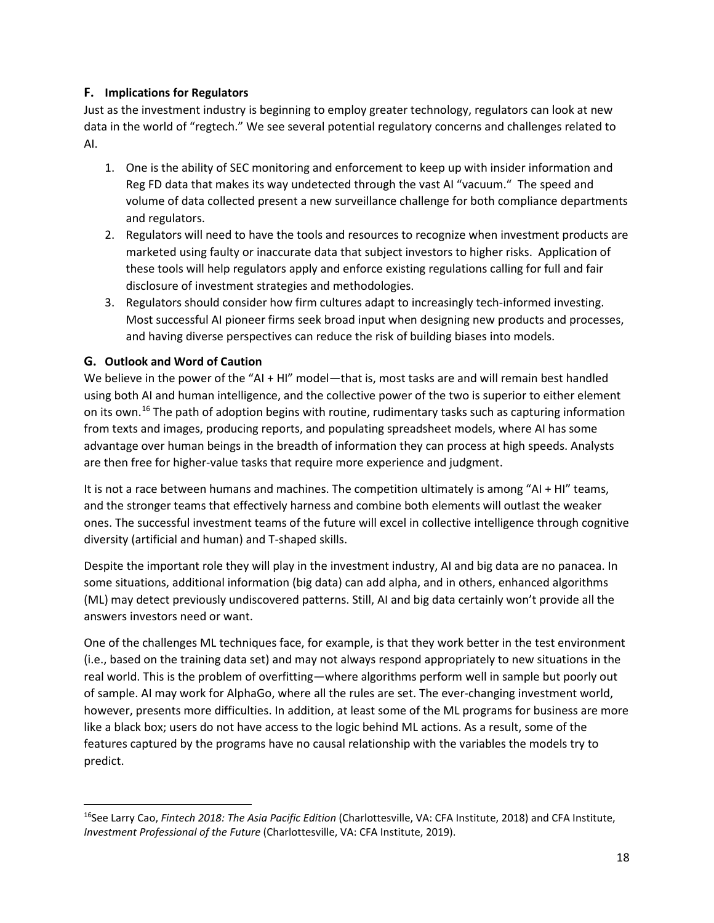## **F. Implications for Regulators**

Just as the investment industry is beginning to employ greater technology, regulators can look at new data in the world of "regtech." We see several potential regulatory concerns and challenges related to AI.

- 1. One is the ability of SEC monitoring and enforcement to keep up with insider information and Reg FD data that makes its way undetected through the vast AI "vacuum." The speed and volume of data collected present a new surveillance challenge for both compliance departments and regulators.
- 2. Regulators will need to have the tools and resources to recognize when investment products are marketed using faulty or inaccurate data that subject investors to higher risks. Application of these tools will help regulators apply and enforce existing regulations calling for full and fair disclosure of investment strategies and methodologies.
- 3. Regulators should consider how firm cultures adapt to increasingly tech-informed investing. Most successful AI pioneer firms seek broad input when designing new products and processes, and having diverse perspectives can reduce the risk of building biases into models.

## **G. Outlook and Word of Caution**

We believe in the power of the "AI + HI" model—that is, most tasks are and will remain best handled using both AI and human intelligence, and the collective power of the two is superior to either element on its own.[16](#page-17-0) The path of adoption begins with routine, rudimentary tasks such as capturing information from texts and images, producing reports, and populating spreadsheet models, where AI has some advantage over human beings in the breadth of information they can process at high speeds. Analysts are then free for higher-value tasks that require more experience and judgment.

It is not a race between humans and machines. The competition ultimately is among "AI + HI" teams, and the stronger teams that effectively harness and combine both elements will outlast the weaker ones. The successful investment teams of the future will excel in collective intelligence through cognitive diversity (artificial and human) and T-shaped skills.

Despite the important role they will play in the investment industry, AI and big data are no panacea. In some situations, additional information (big data) can add alpha, and in others, enhanced algorithms (ML) may detect previously undiscovered patterns. Still, AI and big data certainly won't provide all the answers investors need or want.

One of the challenges ML techniques face, for example, is that they work better in the test environment (i.e., based on the training data set) and may not always respond appropriately to new situations in the real world. This is the problem of overfitting—where algorithms perform well in sample but poorly out of sample. AI may work for AlphaGo, where all the rules are set. The ever-changing investment world, however, presents more difficulties. In addition, at least some of the ML programs for business are more like a black box; users do not have access to the logic behind ML actions. As a result, some of the features captured by the programs have no causal relationship with the variables the models try to predict.

<span id="page-17-0"></span><sup>16</sup>See Larry Cao, *Fintech 2018: The Asia Pacific Edition* (Charlottesville, VA: CFA Institute, 2018) and CFA Institute, *Investment Professional of the Future* (Charlottesville, VA: CFA Institute, 2019).